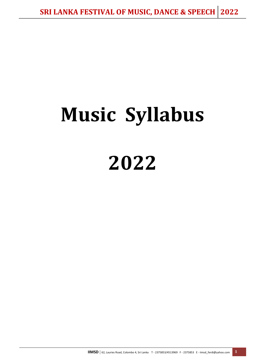# **Music Syllabus 2022**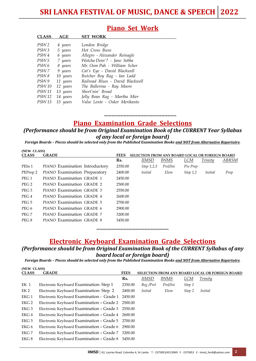# **Piano Set Work**

| <b>CLAJJ</b>     | AGE      | JEI WUNN                         |
|------------------|----------|----------------------------------|
|                  |          |                                  |
| PSW <sub>2</sub> | 4 years  | London Bridge                    |
| PSW <sub>3</sub> | 5 years  | Hot Cross Buns                   |
| PSW4             | 6 years  | Allegro - Alexander Reinagle     |
| PSW 5            | 7 years  | Wotcha Doin'? - Jane Sebba       |
| PSW 6            | 8 years  | Mr. Oom Pah - William Scher      |
| PSW 7            | 9 years  | Cat's Eye - David Blackwell      |
| PSW <sub>8</sub> | 10 years | Butcher Boy Rag - Ian Ladd       |
| PSW 9            | 11 years | Railroad Blues - David Blackwell |
| <i>PSW</i> 10    | 12 years | The Ballerina - Ray Moore        |
| <b>PSW11</b>     | 13 years | Short'nin' Bread                 |
| PSW 12           | 14 years | Jelly Bean Rag - Martha Mier     |
| <i>PSW</i> 13    | 15 years | Valse Lente - Osker Merikanto    |

**CLASS AGE SET WORK**

٦

**(NEW CLASS)** 

**(NEW CLASS)**

# **Piano Examination Grade Selections**

\*\*\*\*\*\*\*\*\*\*\*\*\*\*\*\*\*\*\*\*\*\*\*\*\*\*\*\*\*\*\*\*\*\*\*\*\*\*\*\*\*\*\*\*\*\*\*\*

# *(Performance should be from Original Examination Book of the CURRENT Year Syllabus of any local or foreign board)*

*Foreign Boards – Pieces should be selected only from the Published Examination Books and NOT from Alternative Repertoire.*

| uun clabbi<br><b>CLASS</b> | <b>GRADE</b>                   | <b>FEES</b> | <b>SELECTION FROM ANY BOARD LOCAL OR FOREIGN BOARD</b> |             |          |                |       |
|----------------------------|--------------------------------|-------------|--------------------------------------------------------|-------------|----------|----------------|-------|
|                            |                                | Rs.         | IIMSD                                                  | <i>IWMS</i> | LCM      | Trinity        | ABRSM |
| PEIn 1                     | PIANO Examination Introductory | 2350.00     | Step 1,2,3                                             | Prel/Ini    | Pre Prep |                |       |
| PEPrep 2                   | PIANO Examination Preparatory  | 2400.00     | <i>Initial</i>                                         | Elem        | Step 1,2 | <i>Initial</i> | Prep  |
| PEG <sub>1</sub>           | PIANO Examination GRADE 1      | 2450.00     |                                                        |             |          |                |       |
| PEG <sub>2</sub>           | PIANO Examination GRADE 2      | 2500.00     |                                                        |             |          |                |       |
| PEG <sub>3</sub>           | PIANO Examination GRADE 3      | 2550.00     |                                                        |             |          |                |       |
| PEG 4                      | PIANO Examination GRADE 4      | 2600.00     |                                                        |             |          |                |       |
| PEG 5                      | PIANO Examination GRADE 5      | 2700.00     |                                                        |             |          |                |       |
| PEG 6                      | PIANO Examination GRADE 6      | 2900.00     |                                                        |             |          |                |       |
| PEG 7                      | PIANO Examination GRADE 7      | 3200.00     |                                                        |             |          |                |       |
| PEG 8                      | PIANO Examination GRADE 8      | 3450.00     |                                                        |             |          |                |       |
|                            |                                |             |                                                        |             |          |                |       |

\*\*\*\*\*\*\*\*\*\*\*\*\*\*\*\*\*\*\*\*\*\*\*\*\*\*\*\*\*\*\*\*\*\*\*\*\*\*\*\*\*\*\*\*\*\*\*\*

# **Electronic Keyboard Examination Grade Selections**

# *(Performance should be from Original Examination Book of the CURRENT Syllabus of any board local or foreign board)*

*Foreign Boards – Pieces should be selected only from the Published Examination Books and NOT from Alternative Repertoire.*

| UNEW CLASS       |                                                   |             |                |             |            |                                                        |
|------------------|---------------------------------------------------|-------------|----------------|-------------|------------|--------------------------------------------------------|
| <b>CLASS</b>     | <b>GRADE</b>                                      | <b>FEES</b> |                |             |            | <b>SELECTION FROM ANY BOARD LOCAL OR FOREIGN BOARD</b> |
|                  |                                                   | Rs.         | IIMSD          | <i>IWMS</i> | <u>LCM</u> | <i>Trinity</i>                                         |
| EK 1             | Electronic Keyboard Examination-Step 1            | 2350.00     | Beg /Prel      | Prel/Ini    | Step 1     |                                                        |
| EK 2             | Electronic Keyboard Examination-Step 2            | 2400.00     | <i>Initial</i> | Elem        | Step 2     | <i>Initial</i>                                         |
| EKG <sub>1</sub> | Electronic Keyboard Examination - Grade 1         | 2450.00     |                |             |            |                                                        |
| EKG <sub>2</sub> | Electronic Keyboard Examination – Grade 2 2500.00 |             |                |             |            |                                                        |
| EKG <sub>3</sub> | Electronic Keyboard Examination – Grade 3 2550.00 |             |                |             |            |                                                        |
| EKG 4            | Electronic Keyboard Examination – Grade 4         | 2600.00     |                |             |            |                                                        |
| EKG 5            | Electronic Keyboard Examination – Grade 5         | 2700.00     |                |             |            |                                                        |
| EKG 6            | Electronic Keyboard Examination – Grade 6 2900.00 |             |                |             |            |                                                        |
| EKG 7            | Electronic Keyboard Examination – Grade 7         | 3200.00     |                |             |            |                                                        |
| EKG 8            | Electronic Keyboard Examination – Grade 8         | 3450.00     |                |             |            |                                                        |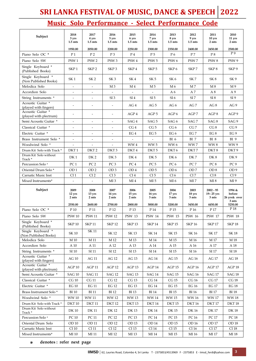# **SRI LANKA FESTIVAL OF MUSIC, DANCE & SPEECH 2022**

# **Music Solo Performance - Select Performance Code**

| <b>Subject</b>                              | 2018<br>3 yrs<br>$1.5$ mts | 2017<br>4 yrs<br>$1.5$ mts   | 2016<br>5 yrs<br>$1.5$ mts | 2015<br>6 yrs<br>$1.5$ mts | 2014<br>7 yrs<br>$1.5$ mts | 2013<br>8 yrs<br>$1.5$ mts | 2012<br>9 yrs<br>1.5 <sub>ints</sub> | 2011<br>10 yrs<br>2 mts               | 2010<br>11 yrs<br>2 mts          |
|---------------------------------------------|----------------------------|------------------------------|----------------------------|----------------------------|----------------------------|----------------------------|--------------------------------------|---------------------------------------|----------------------------------|
|                                             | 1950.00                    | 2050.00                      | 2200.00                    | 2250.00                    | 2300.00                    | 2350.00                    | 2400.00                              | 2450.00                               | 2500.00<br>P9                    |
| Piano Solo OC *                             | P1                         | P <sub>2</sub>               | P <sub>3</sub>             | P <sub>4</sub>             | P5                         | P6                         | P7                                   | P8                                    |                                  |
| Piano Solo SW                               | PSW <sub>1</sub>           | PSW <sub>2</sub>             | PSW <sub>3</sub>           | PSW <sub>4</sub>           | PSW <sub>5</sub>           | PSW <sub>6</sub>           | PSW <sub>7</sub>                     | PSW <sub>8</sub>                      | PSW <sub>9</sub>                 |
| Single Keyboard *<br>(Published Books)      | SKP <sub>1</sub>           | SKP <sub>2</sub>             | SKP <sub>3</sub>           | SKP <sub>4</sub>           | SKP <sub>5</sub>           | SKP 6                      | SKP 7                                | SKP <sup>8</sup>                      | SKP 9                            |
| Single Keyboard *<br>(Non Published Books)  | SK <sub>1</sub>            | SK <sub>2</sub>              | SK <sub>3</sub>            | SK <sub>4</sub>            | SK <sub>5</sub>            | SK <sub>6</sub>            | SK 7                                 | SK 8                                  | SK <sub>9</sub>                  |
| Melodica Solo                               | $\overline{\phantom{a}}$   |                              | M <sub>3</sub>             | M <sub>4</sub>             | M 5                        | M <sub>6</sub>             | M <sub>7</sub>                       | M8                                    | M 9                              |
| Accordion Solo                              |                            |                              |                            |                            |                            | A6                         | A 7                                  | A8                                    | A <sub>9</sub>                   |
| String Instruments *                        | $\overline{\phantom{a}}$   | $\overline{\phantom{a}}$     | SI <sub>3</sub>            | SI <sub>4</sub>            | SI <sub>5</sub>            | SI <sub>6</sub>            | SI 7                                 | SI 8                                  | SI <sub>9</sub>                  |
| Acoustic Guitar *<br>(played with fingers)  | $\overline{\phantom{a}}$   | $\overline{a}$               | $\overline{\phantom{a}}$   | AG4                        | AG 5                       | AG 6                       | AG 7                                 | AG 8                                  | AG 9                             |
| Acoustic Guitar *<br>(played with plectrum) | $\overline{\phantom{a}}$   | $\overline{\phantom{a}}$     | $\tilde{\phantom{a}}$      | AGP4                       | AGP 5                      | AGP6                       | AGP 7                                | AGP 8                                 | AGP 9                            |
| Semi Acoustic Guitar *                      | $\overline{\phantom{a}}$   | $\qquad \qquad \blacksquare$ | $\overline{\phantom{a}}$   | SAG4                       | SAG <sub>5</sub>           | SAG <sub>6</sub>           | SAG7                                 | SAG 8                                 | SAG 9                            |
| Classical Guitar *                          | $\sim$                     |                              | $\blacksquare$             | CG <sub>4</sub>            | CG 5                       | CG <sub>6</sub>            | CG <sub>7</sub>                      | CG 8                                  | CG <sub>9</sub>                  |
| Electric Guitar *                           | $\overline{\phantom{a}}$   | $\overline{\phantom{0}}$     | $\overline{\phantom{a}}$   | EG <sub>4</sub>            | EG <sub>5</sub>            | EG <sub>6</sub>            | EG <sub>7</sub>                      | EG8                                   | EG <sub>9</sub>                  |
| Brass Instrument Solo *                     |                            | $\overline{\phantom{m}}$     |                            |                            | $\overline{\phantom{a}}$   | BI <sub>6</sub>            | <b>BI</b> 7                          | <b>BI</b> 8                           | BI <sub>9</sub>                  |
| Woodwind Solo *                             | $\overline{\phantom{a}}$   | $\overline{\phantom{a}}$     | $\overline{\phantom{a}}$   | WW4                        | WW <sub>5</sub>            | WW 6                       | WW7                                  | <b>WW8</b>                            | WW 9                             |
| Drum Kit Solo with Track *                  | DKT <sub>1</sub>           | DKT <sub>2</sub>             | DKT <sub>3</sub>           | DKT <sub>4</sub>           | DKT <sub>5</sub>           | DKT <sub>6</sub>           | DKT7                                 | DKT <sub>8</sub>                      | DKT <sub>9</sub>                 |
| Drum Kit Solo without<br>Track *            | DK <sub>1</sub>            | DK <sub>2</sub>              | DK3                        | DK4                        | DK <sub>5</sub>            | DK <sub>6</sub>            | DK 7                                 | DK8                                   | DK9                              |
| Percussion Solo *                           | PC <sub>1</sub>            | PC <sub>2</sub>              | PC <sub>3</sub>            | PC <sub>4</sub>            | PC <sub>5</sub>            | PC <sub>6</sub>            | PC <sub>7</sub>                      | PC <sub>8</sub>                       | PC <sub>9</sub>                  |
| Oriental Drum Solo*                         | OD <sub>1</sub>            | OD <sub>2</sub>              | OD <sub>3</sub>            | OD 4                       | OD <sub>5</sub>            | OD <sub>6</sub>            | OD 7                                 | OD <sub>8</sub>                       | OD <sub>9</sub>                  |
| Carnatic Music Inst                         | CI <sub>1</sub>            | CI <sub>2</sub>              | CI <sub>3</sub>            | CI <sub>4</sub>            | CI <sub>5</sub>            | CI <sub>6</sub>            | CI <sub>7</sub>                      | CI 8                                  | CI <sub>9</sub>                  |
| Mixed Instruments*                          | $\omega$                   | $\omega$                     | MI <sub>3</sub>            | MI <sub>4</sub>            | MI 5                       | MI <sub>6</sub>            | MI 7                                 | MI 8                                  | MI <sub>9</sub>                  |
|                                             |                            |                              |                            |                            |                            |                            |                                      |                                       |                                  |
| Subject                                     | 2009<br>12 yrs<br>2 mts    | 2008<br>13 yrs<br>2 mts      | 2007<br>14 yrs<br>2 mts    | 2006<br>15 yrs<br>2 mts    | 2005<br>16 yrs<br>3 mts    | 2004<br>17 yrs<br>3 mts    | 2003<br>18 yrs<br>3 mts              | $2002 - 95$<br>$19 - 25$ yrs<br>3 mts | 1994 &<br>before<br>26 yrs& over |
|                                             | 2550.00                    | 2600.00                      | 2700.00                    | 2800.00                    | 3000.00                    | 3200.00                    | 3450.00                              | 4450.00                               | 3 mts<br>5250.00                 |
| Piano Solo OC *                             | P <sub>10</sub>            | P 11                         | P <sub>12</sub>            | P <sub>13</sub>            | P 14                       | P <sub>15</sub>            | P <sub>16</sub>                      | P 17                                  | P <sub>18</sub>                  |
| Piano Solo SW                               | <b>PSW 10</b>              | <b>PSW 11</b>                | <b>PSW 12</b>              | <b>PSW 13</b>              | <b>PSW 14</b>              | <b>PSW 15</b>              | <b>PSW 16</b>                        | <b>PSW 17</b>                         | <b>PSW 18</b>                    |
| Single Keyboard *<br>(Published Books)      | SKP <sub>10</sub>          | <b>SKP11</b>                 | <b>SKP12</b>               | <b>SKP13</b>               | SKP <sub>14</sub>          | <b>SKP15</b>               | <b>SKP16</b>                         | SKP <sub>17</sub>                     | SKP <sub>18</sub>                |
| Single Keyboard *<br>(Non Published Books)  | SK 10                      | <b>SK11</b>                  | SK 12                      | SK 13                      | SK 14                      | SK 15                      | SK 16                                | SK 17                                 | SK 18                            |
| Melodica Solo                               | M 10                       | M 11                         | M <sub>12</sub>            | M 13                       | M 14                       | M 15                       | M 16                                 | M 17                                  | M 18                             |
| Accordion Solo                              | A 10                       | A 11                         | A 12                       | A 13                       | A 14                       | A 15                       | A 16                                 | A 17                                  | A 18                             |
| String Instruments *                        | SI 10                      | SI 11                        | SI 12                      | SI 13                      | SI 14                      | SI 15                      | SI 16                                | SI 17                                 | SI 18                            |
| Acoustic Guitar *<br>(played with fingers)  | <b>AG 10</b>               | AG 11                        | AG 12                      | AG 13                      | AG 14                      | AG 15                      | AG 16                                | AG 17                                 | <b>AG 18</b>                     |
| Acoustic Guitar *<br>(played with plectrum) | AGP <sub>10</sub>          | $AGP\,11$                    | AGP <sub>12</sub>          | AGP <sub>13</sub>          | AGP <sub>14</sub>          | AGP <sub>15</sub>          | AGP <sub>16</sub>                    | AGP <sub>17</sub>                     | AGP <sub>18</sub>                |
| Semi Acoustic Guitar *                      | <b>SAG 10</b>              | <b>SAG 11</b>                | <b>SAG 12</b>              | <b>SAG 13</b>              | <b>SAG 14</b>              | <b>SAG 15</b>              | <b>SAG 16</b>                        | <b>SAG 17</b>                         | <b>SAG 18</b>                    |
| Classical Guitar *                          | CG 10                      | CG 11                        | CG 12                      | CG 13                      | CG 14                      | CG 15                      | CG 16                                | CG 17                                 | CG 18                            |
| Electric Guitar *                           | <b>EG 10</b>               | <b>EG 11</b>                 | <b>EG 12</b>               | <b>EG 13</b>               | <b>EG 14</b>               | <b>EG 15</b>               | <b>EG 16</b>                         | <b>EG 17</b>                          | <b>EG 18</b>                     |
| Brass Instrument Solo*                      | <b>BI</b> 10               | <b>BI</b> 11                 | <b>BI</b> 12               | <b>BI</b> 13               | $\rm BI$ $14$              | $\rm BI$ 15                | <b>BI</b> 16                         | <b>BI17</b>                           | <b>BI</b> 18                     |
| Woodwind Solo *                             | <b>WW10</b>                | <b>WW11</b>                  | <b>WW12</b>                | <b>WW13</b>                | WW 14                      | <b>WW15</b>                | <b>WW16</b>                          | <b>WW17</b>                           | <b>WW18</b>                      |
| Drum Kit Solo with Track*                   | DKT <sub>10</sub>          | DKT <sub>11</sub>            | <b>DKT12</b>               | DKT <sub>13</sub>          | DKT <sub>14</sub>          | DKT <sub>15</sub>          | DKT <sub>16</sub>                    | DKT <sub>17</sub>                     | DKT <sub>18</sub>                |
| Drum Kit Solo without<br>Track *            | <b>DK10</b>                | <b>DK11</b>                  | <b>DK12</b>                | DK 13                      | DK 14                      | <b>DK15</b>                | DK 16                                | DK 17                                 | <b>DK18</b>                      |
| Percussion Solo *                           | PC 10                      | ${\rm PC}\,11$               | PC 12                      | PC 13                      | PC 14                      | PC 15                      | PC 16                                | PC 17                                 | PC 18                            |
| Oriental Drum Solo                          | OD 10                      | OD 11                        | OD 12                      | OD 13                      | OD 14                      | OD 15                      | OD 16                                | OD 17                                 | OD 18                            |
| Carnatic Music Inst                         | $CI$ 10                    | CI11                         | CI 12                      | CI 13                      | CI <sub>14</sub>           | CI 15                      | CI 16                                | CI 17                                 | CI 18                            |

**denotes : refer next page \***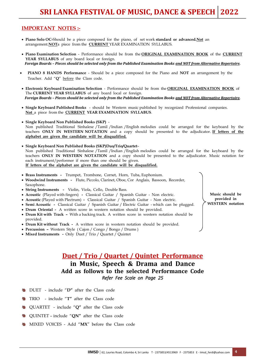### **IMPORTANT NOTES :-**

- **Piano Solo OC-**Should be a piece composed for the piano, of set work **standard or advanced.Not** an arrangement.**NOT**a piece from the **CURRENT** YEAR EXAMINATION SYLLABUS.
- **Piano Examination Selection** Performance should be from the **ORIGINAL EXAMINATION BOOK** of the **CURRENT YEAR SYLLABUS** of any board local or foreign. *Foreign Boards – Pieces should be selected only from the Published Examination Books and NOT from Alternative Repertoire.*
- **PIANO 8 HANDS Performance** Should be a piece composed for the Piano and **NOT** an arrangement by the Teacher. Add "**Q**" before the Class code.
- **Electronic Keyboard Examination Selection** Performance should be from the **ORIGINAL EXAMINATION BOOK** of The **CURRENT YEAR SYLLABUS** of any board local or foreign. *Foreign Boards – Pieces should be selected only from the Published Examination Books and NOT from Alternative Repertoire.*
- **Single Keyboard Published Books** should be Western music published by recognized Professional companies. **Not** a piece from the **CURRENT YEAR EXAMINATION SYLLABUS**.
- **Single Keyboard Non Published Books (SKP)** Non published Traditional Sinhalese /Tamil /Indian /English melodies could be arranged for the keyboard by the teachers **ONLY IN WESTERN NOTATION** and a copy should be presented to the adjudicator. **If letters of the alphabet are given the candidate will be disqualified.**
- **Single Keyboard Non Published Books (SKP)Duo/Trio/Quartet** Non published Traditional Sinhalese /Tamil /Indian /English melodies could be arranged for the keyboard by the teachers **ONLY IN WESTERN NOTATION** and a copy should be presented to the adjudicator. Music notation for each instrument/performer if more than one should be given. **If letters of the alphabet are given the candidate will be disqualified.**
- **Brass Instruments -** Trumpet, Trombone, Cornet, Horn, Tuba, Euphonium.
- **Woodwind Instruments -** Flute, Piccolo, Clarinet, Oboe, Cor Anglais, Bassoon, Recorder, Saxophone.
- **String Instruments -** Violin, Viola, Cello, Double Bass.
- **Acoustic** (Played with fingers) **-** Classical Guitar / Spanish Guitar Non electric.
- **Acoustic** (Played with Plectrum) **-** Classical Guitar / Spanish Guitar Non electric.
- **Semi Acoustic -** Classical Guitar / Spanish Guitar / Electric Guitar which can be plugged.
- **Drum Oriental** A written score in western notation should be provided.
- **Drum Kit with Track –** With a backing track. A written score in western notation should be provided.
- **Drum Kit without Track -** A written score in western notation should be provided.
- **Percussion –** Western Style ( Cajon / Congo / Bongo / Drums )
- **Mixed Instruments** Only Duet / Trio / Quartet / Quintet

# **Duet / Trio / Quartet / Quintet Performance in Music, Speech & Drama and Dance Add as follows to the selected Performance Code** *Refer Fee Scale on Page 25*

- DUET include "**D"** after the Class code
- TRIO include "**T"** after the Class code
- QUARTET include "**Q"** after the Class code 鵱
- 곅 QUINTET – include "**QN"** after the Class code
- MIXED VOICES Add "**MX**" before the Class code

**Music should be provided in WESTERN notation**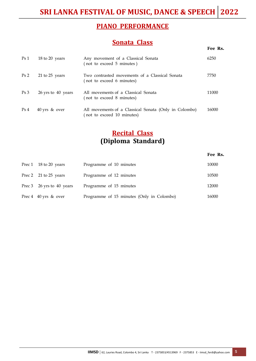# **PIANO PERFORMANCE**

# **Sonata Class**

| Ps <sub>1</sub> | 18 to 20 years           | Any movement of a Classical Sonata<br>(not to exceed 5 minutes)                    | 6250  |
|-----------------|--------------------------|------------------------------------------------------------------------------------|-------|
| Ps <sub>2</sub> | 21 to $25$ years         | Two contrasted movements of a Classical Sonata<br>(not to exceed 6 minutes)        | 7750  |
| Ps <sub>3</sub> | 26 yrs to 40 years       | All movements of a Classical Sonata<br>(not to exceed 8 minutes)                   | 11000 |
| Ps <sub>4</sub> | $40 \,\text{yrs}$ & over | All movements of a Classical Sonata (Only in Colombo)<br>not to exceed 10 minutes) | 16000 |

# **Recital Class (Diploma Standard)**

### **Fee Rs.**

**Fee Rs.**

| Prec 1 18 to 20 years                | Programme of 10 minutes                   | 10000 |
|--------------------------------------|-------------------------------------------|-------|
| Prec 2 21 to 25 years                | Programme of 12 minutes                   | 10500 |
| Prec 3 26 yrs to 40 years            | Programme of 15 minutes                   | 12000 |
| Prec $4 \quad 40 \text{ yrs}$ & over | Programme of 15 minutes (Only in Colombo) | 16000 |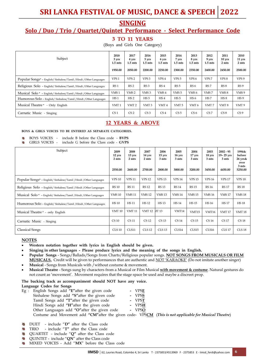# **SRI LANKA FESTIVAL OF MUSIC, DANCE & SPEECH 2022**

# **SINGING**

# **Solo / Duo / Trio / Quartet/Quintet Performance - Select Performance Code**

### **3 TO 11 YEARS**

(Boys and Girls One Category)

| Subject                                                            | 2018<br>3 yrs<br>$1.5$ mts<br>1950.00 | 2017<br>4 yrs<br>1.5 mts<br>2050.00 | 2016<br>5 yrs<br>$1.5$ mts<br>2200.00 | 2015<br>6 yrs<br>$1.5$ mts<br>2250.00 | 2014<br>7 yrs<br>$1.5$ mts<br>2300.00 | 2013<br>8 yrs<br>$1.5$ mts<br>2350.00 | 2012<br>9 yrs<br>$1.5$ mts<br>2400.00 | 2011<br>$10$ yrs<br>2 mts<br>2450.00 | 2010<br>$11 \text{ yrs}$<br>2 mts<br>2500.00 |
|--------------------------------------------------------------------|---------------------------------------|-------------------------------------|---------------------------------------|---------------------------------------|---------------------------------------|---------------------------------------|---------------------------------------|--------------------------------------|----------------------------------------------|
| Popular Songs* - English/Sinhalese/Tamil / Hindi / Other Languages | VPS <sub>1</sub>                      | VPS <sub>2</sub>                    | VPS <sub>3</sub>                      | VPS <sub>4</sub>                      | VPS <sub>5</sub>                      | VPS <sub>6</sub>                      | VPS <sub>7</sub>                      | VPS <sub>8</sub>                     | VPS 9                                        |
| Religious Solo - English/Sinhalese/Tamil /Hindi /Other Languages   | RS <sub>1</sub>                       | RS <sub>2</sub>                     | RS <sub>3</sub>                       | RS <sub>4</sub>                       | RS <sub>5</sub>                       | RS <sub>6</sub>                       | RS <sub>7</sub>                       | RS8                                  | RS <sub>9</sub>                              |
| Musical Solo * - English/Sinhalese/Tamil /Hindi /Other Languages   | VMS <sub>1</sub>                      | VMS <sub>2</sub>                    | VMS <sub>3</sub>                      | VMS 4                                 | VMS <sub>5</sub>                      | VMS <sub>6</sub>                      | VMS7                                  | VMS <sub>8</sub>                     | VMS <sub>9</sub>                             |
| Humorous Solo - English/ Sinhalese/Tamil / Hindi / Other Languages | HS <sub>1</sub>                       | HS <sub>2</sub>                     | HS <sub>3</sub>                       | HS <sub>4</sub>                       | HS <sub>5</sub>                       | HS <sub>6</sub>                       | HS <sub>7</sub>                       | HS 8                                 | HS <sub>9</sub>                              |
| Musical Theatre * - Only English                                   | VMT <sub>1</sub>                      | VMT <sub>2</sub>                    | VMT <sub>3</sub>                      | VMT <sub>4</sub>                      | VMT <sub>5</sub>                      | VMT 6                                 | VMT7                                  | VMT <sub>8</sub>                     | VMT <sub>9</sub>                             |
| Carnatic Music - Singing                                           | CS <sub>1</sub>                       | CS <sub>2</sub>                     | CS <sub>3</sub>                       | CS <sub>4</sub>                       | CS <sub>5</sub>                       | CS <sub>6</sub>                       | CS <sub>7</sub>                       | CS 8                                 | CS <sub>9</sub>                              |

### **12 YEARS & ABOVE**

### **BOYS & GIRLS VOICES TO BE ENTERED AS SEPARATE CATEGORIES.**

- àů BOYS VOICES - include B before the Class code - **BVPS**
- $\Delta t$ GIRLS VOICES - include G before the Class code - **GVPS**

| Subject                                                             | 2009<br>12 yrs<br>2 mts<br>2550.00 | 2008<br>13 yrs<br>2 mts<br>2600.00 | 2007<br>14 yrs<br>2 mts<br>2700.00 | 2006<br>$15$ yrs<br>3 mts<br>2800.00 | 2005<br>$16 \text{ yrs}$<br>3 mts<br>3000.00 | 2004<br>$17 \,\mathrm{yrs}$<br>3 mts<br>3200.00 | 2003<br>18 yrs<br>3 mts<br>3450.00 | $2002 - 95$<br>$19 - 25$ yrs<br>3 mts<br>4450.00 | 1994&<br>before<br>26 yrs&<br>over<br>3 mts<br>5250.00 |
|---------------------------------------------------------------------|------------------------------------|------------------------------------|------------------------------------|--------------------------------------|----------------------------------------------|-------------------------------------------------|------------------------------------|--------------------------------------------------|--------------------------------------------------------|
| Popular Songs* - English/ Sinhalese/Tamil / Hindi / Other Languages | <b>VPS 10</b>                      | <b>VPS 11</b>                      | <b>VPS 12</b>                      | <b>VPS 13</b>                        | <b>VPS 14</b>                                | <b>VPS 15</b>                                   | <b>VPS 16</b>                      | <b>VPS 17</b>                                    | <b>VPS 18</b>                                          |
| Religious Solo - English/Sinhalese/Tamil / Hindi / Other Languages  | <b>RS 10</b>                       | <b>RS11</b>                        | <b>RS12</b>                        | <b>RS 13</b>                         | <b>RS 14</b>                                 | <b>RS15</b>                                     | <b>RS 16</b>                       | <b>RS17</b>                                      | <b>RS18</b>                                            |
| Musical Solo * - English/Sinhalese/Tamil / Hindi / Other Languages  | <b>VMS10</b>                       | <b>VMS11</b>                       | <b>VMS12</b>                       | <b>VMS13</b>                         | <b>VMS14</b>                                 | <b>VMS15</b>                                    | <b>VMS16</b>                       | <b>VMS17</b>                                     | <b>VMS18</b>                                           |
| Humorous Solo - English/ Sinhalese/Tamil / Hindi / Other Languages  | <b>HS</b> 10                       | <b>HS11</b>                        | <b>HS12</b>                        | <b>HS13</b>                          | HS 14                                        | <b>HS15</b>                                     | <b>HS16</b>                        | <b>HS17</b>                                      | <b>HS18</b>                                            |
| Musical Theatre * - only English                                    | <b>VMT10</b>                       | <b>VMT11</b>                       | <b>VMT12</b>                       | AT 13                                | VMT14                                        | VMT15                                           | VMT16                              | <b>VMT 17</b>                                    | <b>VMT18</b>                                           |
| Carnatic Music - Singing                                            | CS <sub>10</sub>                   | <b>CS11</b>                        | <b>CS12</b>                        | <b>CS13</b>                          | <b>CS14</b>                                  | CS 15                                           | <b>CS16</b>                        | <b>CS17</b>                                      | <b>CS18</b>                                            |
| <b>Classical Songs</b>                                              | CLS10                              | CLS11                              | CLS <sub>12</sub>                  | CLS <sub>13</sub>                    | CLS14                                        | CLS15                                           | CLS16                              | CLS <sub>17</sub>                                | CLS <sub>18</sub>                                      |

### **NOTES**

- **Western notation together with lyrics in English should be given.**
- **Singing in other languages Please produce lyrics and the meaning of the songs in English.**
- **Popular Songs**  Songs/Ballads/Songs from Charts/Religious popular songs. **NOT SONGS FROM MUSICALS OR FILM MUSICALS.** Credit will be given to performances that are authentic and NOT 'KARAOKE' (Do not imitate another singer)
- **Musical** Songs from Musicals with /without costume & movement.
- **Musical Theatre**  Songs sung by characters from a Musical or Film Musical **with movement & costume**. Natural gestures do not count as 'movement'. Movement requires that the stage space be used and maybe a discreet prop.

### **The backing track as accompaniment should NOT have any voice. Language Codes for Songs**

| Eg : English Songs add "E" after the given code                                                        | - VPSE   |  |
|--------------------------------------------------------------------------------------------------------|----------|--|
| Sinhalese Songs add "S" after the given code                                                           | - VPSS   |  |
| Tamil Songs add "T" after the given code                                                               | - VPST   |  |
| Hindi Songs add "H" after the given code                                                               | - VPSH   |  |
| Other Languages add "O" after the given code                                                           | $- VPSO$ |  |
| Costume and Movement add "CM" after the given code- VPSCM (This is not applicable for Musical Theatre) |          |  |

- DUET include "**D"** after the Class code A,
- TRIO include "**T"** after the Class code ۵Ņ
- QUARTET include "**Q"** after the Class code A.
- QUINTET include "**QN**" after the Class code A.
- MIXED VOICES Add "**MX**" before the Class codea.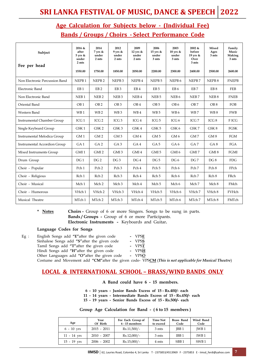# **Age Calculation for Subjects below - (Individual Fee) Bands / Groups / Choirs - Select Performance Code**

| Subject<br>Fee per head        | 2016 &<br>after<br>$5$ yrs &<br>under<br>2 mts | 2014<br>7 yrs &<br>under<br>2 mts | 2012<br>$9$ yrs &<br>under<br>2 mts | 2009<br>12 yrs $&$<br>under<br>2 mts | 2006<br>15 yrs &<br>under<br>3 mts | 2003<br>$18$ yrs &<br>under<br>3 mts | 2002 &<br>before<br>19 yrs $&$<br>Over<br>3 mts | Mixed<br>Ages<br>3 mts | Family<br>Music<br>Making<br>3 mts |
|--------------------------------|------------------------------------------------|-----------------------------------|-------------------------------------|--------------------------------------|------------------------------------|--------------------------------------|-------------------------------------------------|------------------------|------------------------------------|
|                                | 1550.00                                        | 1750.00                           | 1850.00                             | 2050.00                              | 2200.00                            | 2300.00                              | 2400.00                                         | 2500.00                | 2600.00                            |
| Non Electronic Percussion Band | NEPB <sub>1</sub>                              | NEPB <sub>2</sub>                 | NEPB <sub>3</sub>                   | NEPB <sub>4</sub>                    | NEPB <sub>5</sub>                  | NEPB <sub>6</sub>                    | NEPB <sub>7</sub>                               | NEPB <sub>8</sub>      | <b>FNEPB</b>                       |
| Electronic Band                | EB <sub>1</sub>                                | EB <sub>2</sub>                   | EB <sub>3</sub>                     | EB <sub>4</sub>                      | EB <sub>5</sub>                    | EB <sub>6</sub>                      | EB <sub>7</sub>                                 | EB <sub>8</sub>        | FEB                                |
| Non Electronic Band            | NEB <sub>1</sub>                               | NEB <sub>2</sub>                  | NEB <sub>3</sub>                    | NEB4                                 | NEB <sub>5</sub>                   | NEB <sub>6</sub>                     | NEB <sub>7</sub>                                | NEB <sub>8</sub>       | <b>FNEB</b>                        |
| Oriental Band                  | OB <sub>1</sub>                                | OB <sub>2</sub>                   | OB <sub>3</sub>                     | OB <sub>4</sub>                      | OB <sub>5</sub>                    | OB <sub>6</sub>                      | OB <sub>7</sub>                                 | OB <sub>8</sub>        | FOB                                |
| Western Band                   | WB <sub>1</sub>                                | WB <sub>2</sub>                   | WB <sub>3</sub>                     | WB4                                  | WB <sub>5</sub>                    | WB6                                  | WB7                                             | WB8                    | <b>FWB</b>                         |
| Instrumental Chamber Group     | ICG <sub>1</sub>                               | ICG <sub>2</sub>                  | ICG <sub>3</sub>                    | ICG <sub>4</sub>                     | ICG <sub>5</sub>                   | ICG <sub>6</sub>                     | ICG <sub>7</sub>                                | ICG <sub>8</sub>       | F ICG                              |
| Single Keyboard Group          | GSK1                                           | GSK <sub>2</sub>                  | GSK3                                | GSK4                                 | GSK <sub>5</sub>                   | GSK 6                                | GSK7                                            | GSK8                   | <b>FGSK</b>                        |
| Instrumental Melodica Group    | GM <sub>1</sub>                                | GM <sub>2</sub>                   | GM <sub>3</sub>                     | GM4                                  | GM <sub>5</sub>                    | GM <sub>6</sub>                      | GM7                                             | GM <sub>8</sub>        | FGM                                |
| Instrumental Accordion Group   | GA <sub>1</sub>                                | GA <sub>2</sub>                   | GA <sub>3</sub>                     | GA4                                  | GA <sub>5</sub>                    | GA6                                  | GA7                                             | GA <sub>8</sub>        | FGA                                |
| Mixed Instruments Group        | GMI <sub>1</sub>                               | GMI <sub>2</sub>                  | GMI <sub>3</sub>                    | GMI <sub>4</sub>                     | GMI <sub>5</sub>                   | GMI <sub>6</sub>                     | GMI <sub>7</sub>                                | GMI <sub>8</sub>       | FGMI                               |
| Drum Group                     | DG <sub>1</sub>                                | DG <sub>2</sub>                   | DG <sub>3</sub>                     | DG <sub>4</sub>                      | DG <sub>5</sub>                    | DG 6                                 | DG 7                                            | DG 8                   | <b>FDG</b>                         |
| Choir - Popular                | Pch <sub>1</sub>                               | Pch <sub>2</sub>                  | Pch <sub>3</sub>                    | Pch 4                                | Pch <sub>5</sub>                   | Pch 6                                | Pch 7                                           | Pch 8                  | FPch                               |
| Choir - Religious              | Rch <sub>1</sub>                               | Rch <sub>2</sub>                  | Rch <sub>3</sub>                    | Rch 4                                | Rch <sub>5</sub>                   | Rch 6                                | Rch 7                                           | Rch 8                  | FRch                               |
| Choir - Musical                | Mch <sub>1</sub>                               | Mch <sub>2</sub>                  | Mch <sub>3</sub>                    | Mch 4                                | Mch <sub>5</sub>                   | Mch 6                                | Mch 7                                           | Mch 8                  | FMch                               |
| Choir - Humorous               | VHch <sub>1</sub>                              | VHch <sub>2</sub>                 | VHch 3                              | VHch 4                               | VHch 5                             | VHch 6                               | VHch 7                                          | VHch 8                 | FVHch                              |
| Musical Theatre                | MTch 1                                         | MTch 2                            | MTch 3                              | MTch 4                               | MTch 5                             | MTch 6                               | MTch 7                                          | MTch 8                 | FMTch                              |

**Notes Choirs -** Group of 6 or more Singers. Songs to be sung in parts. **Bands / Groups -** Group of 6 or more Participants. **Electronic Instruments -** Keyboards and Guitar**.**

### **Language Codes for Songs**

| $Eg$ : | English Songs add "E" after the given code                         | - VPSE |
|--------|--------------------------------------------------------------------|--------|
|        | Sinhalese Songs add "S" after the given code                       | - VPSS |
|        | Tamil Songs add "T" after the given code                           | - VPST |
|        | Hindi Songs add "H"after the given code                            | - VPSH |
|        | Other Languages add "O" after the given code                       | - VPSO |
|        | $C_{\text{submax}}$ and Marconsent and HCMU-from the size of a MDC |        |

Costume and Movement add **"CM"**after the given code- VPS**CM** (*This is not applicable for Musical Theatre*)

# **LOCAL & INTERNATIONAL SCHOOL – BRASS/WIND BANDS ONLY**

### **A Band could have 6 - 15 members.**

 **6 - 10 years - Junior Bands Excess of 15 - Rs.400/- each** 

**11 - 14 years - Intermediate Bands Excess of 15 - Rs.450/- each**

**15 - 19 years - Senior Bands Excess of 15 - Rs.500/- each**

### **Group Age Calculation for Band - ( 6 to 15 members )**

| Age                        | Year<br>Of Birth | Fee Each Group of<br>$6 - 15$ members | <b>Time Not</b><br>to exceed | Brass Band<br>Code | Wind Band<br>Code |
|----------------------------|------------------|---------------------------------------|------------------------------|--------------------|-------------------|
| $6 - 10$ yrs               | $2015 - 2011$    | $Rs.11,500/-$                         | 3 mts                        | IBB <sub>1</sub>   | <b>IWB1</b>       |
| $11 - 14$ $\,\mathrm{vrs}$ | $2010 - 2007$    | $Rs.12,000/-$                         | 3 mts                        | IBB <sub>1</sub>   | IWB <sub>1</sub>  |
| $15 - 19$ $vrs$            | $2006 - 2002$    | $Rs.15,000/-$                         | 4 mts                        | SBB <sub>1</sub>   | SWB <sub>1</sub>  |